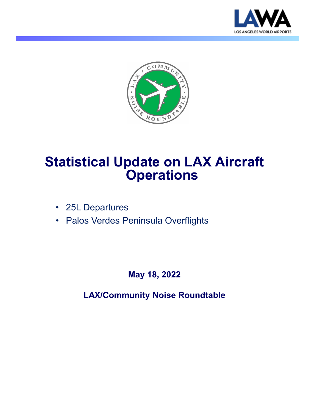



# **Statistical Update on LAX Aircraft Operations**

- 25L Departures
- Palos Verdes Peninsula Overflights

**May 18, 2022**

**LAX/Community Noise Roundtable**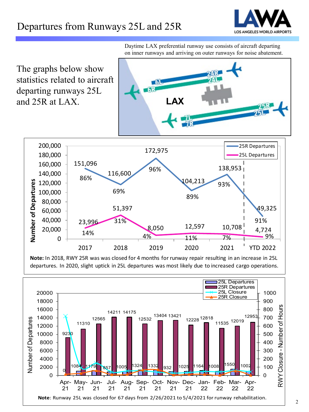## Departures from Runways 25L and 25R



The graphs below show statistics related to aircraft departing runways 25L and 25R at LAX. **LAX** 200,000 25R Departures 172,975 180,000 25L Departures 160,000 151,096 138,953 96% 140,000 116,600 86% 104,213 Number of Departures **Number of Departures** 120,000 93% 100,000 69% 89% 80,000 51,397 49,325 60,000 40,000 31% 91% 23,996 8,050 12,597 10,708 4,724 20,000 4% 11% 7% 9%  $\Omega$ 2017 2018 2019 2020 2021 YTD 2022

**Note:** In 2018, RWY 25R was was closed for 4 months for runway repair resulting in an increase in 25L departures. In 2020, slight uptick in 25L departures was most likely due to increased cargo operations.



Daytime LAX preferential runway use consists of aircraft departing on inner runways and arriving on outer runways for noise abatement.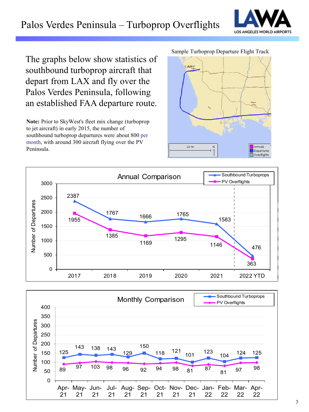## Palos Verdes Peninsula – Turboprop Overflights



The graphs below show statistics of southbound turboprop aircraft that depart from LAX and fly over the Palos Verdes Peninsula, following an established FAA departure route.

**Note:** Prior to SkyWest's fleet mix change (turboprop to jet aircraft) in early 2015, the number of southbound turboprop departures were about 800 per month, with around 300 aircraft flying over the PV Peninsula.

Sample Turboprop Departure Flight Track





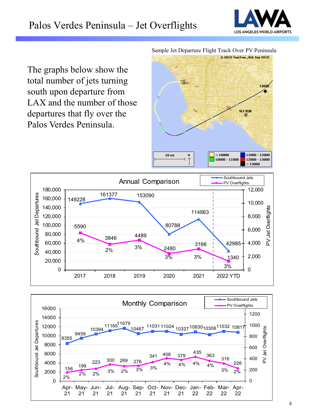

The graphs below show the total number of jets turning south upon departure from LAX and the number of those departures that fly over the Palos Verdes Peninsula.

Sample Jet Departure Flight Track Over PV Peninsula